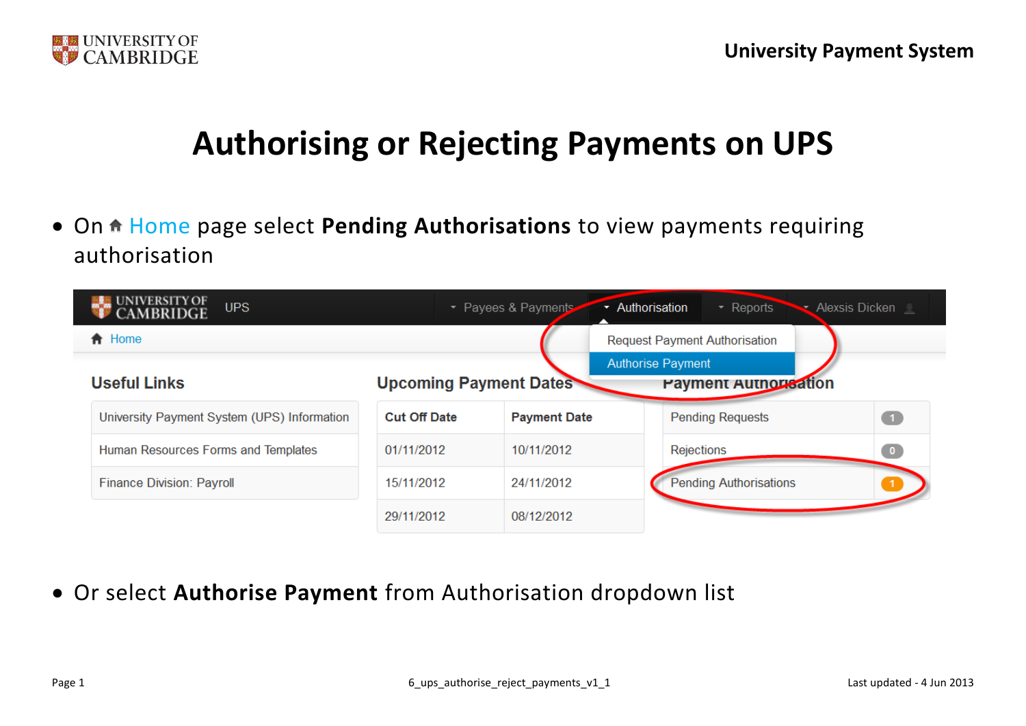

## **Authorising or Rejecting Payments on UPS**

• On **f** Home page select **Pending Authorisations** to view payments requiring authorisation



Or select **Authorise Payment** from Authorisation dropdown list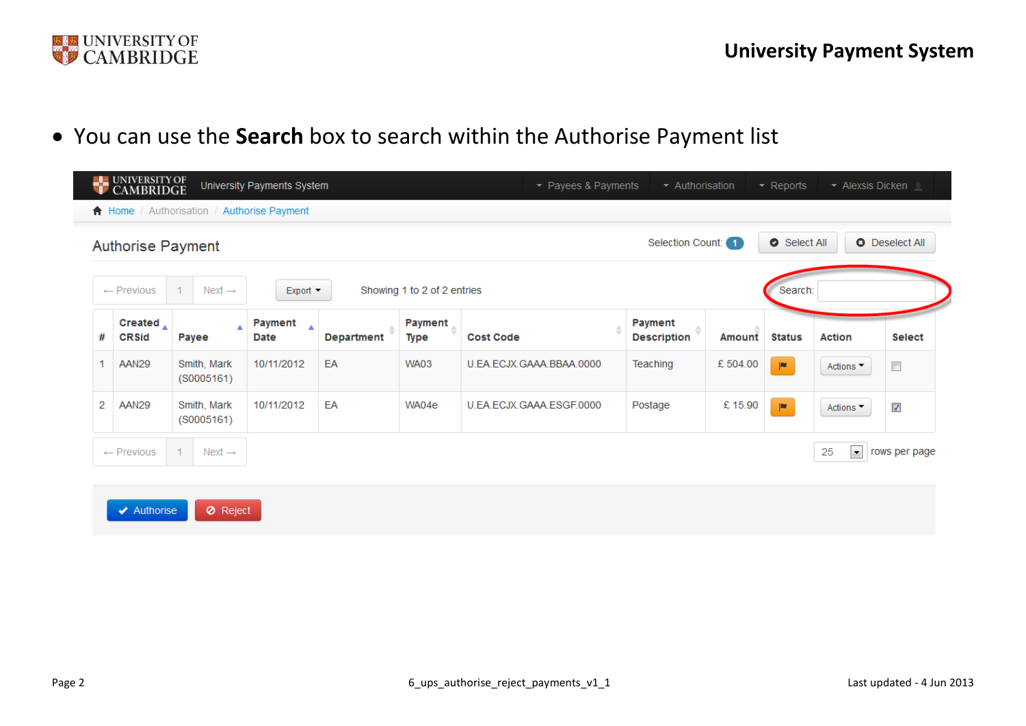

 $\overline{\phantom{a}}$ 

You can use the **Search** box to search within the Authorise Payment list

|                | UNIVERSITY OF<br>CAMBRIDGE        |                                            | University Payments System          |                   |                               | • Payees & Payments      | Authorisation                 |          | $\sim$ Reports        | $\blacktriangleright$ Alexsis Dicken $\perp$ |                          |
|----------------|-----------------------------------|--------------------------------------------|-------------------------------------|-------------------|-------------------------------|--------------------------|-------------------------------|----------|-----------------------|----------------------------------------------|--------------------------|
|                |                                   | ↑ Home / Authorisation / Authorise Payment |                                     |                   |                               |                          |                               |          |                       |                                              |                          |
|                | <b>Authorise Payment</b>          |                                            |                                     |                   |                               |                          | Selection Count: 1            |          | Select All            |                                              | <b>O</b> Deselect All    |
|                | $\leftarrow$ Previous             | $\mathbf{1}$<br>Next $\rightarrow$         | Export                              |                   | Showing 1 to 2 of 2 entries   |                          |                               |          | Search:               |                                              |                          |
| #              | Created $\Lambda$<br><b>CRSid</b> | A<br>Payee                                 | Payment<br>$\blacktriangle$<br>Date | <b>Department</b> | <b>Payment</b><br><b>Type</b> | <b>Cost Code</b>         | Payment<br><b>Description</b> | Amount   | <b>Status</b>         | <b>Action</b>                                | <b>Select</b>            |
| 1              | <b>AAN29</b>                      | Smith, Mark<br>(S0005161)                  | 10/11/2012                          | EA                | <b>WA03</b>                   | U.EA.ECJX.GAAA.BBAA.0000 | Teaching                      | £ 504.00 | $\blacksquare$        | Actions ▼                                    | $\overline{\phantom{a}}$ |
| $\overline{2}$ | AAN29                             | Smith, Mark<br>(S0005161)                  | 10/11/2012                          | EA                | WA04e                         | U.EA.ECJX.GAAA.ESGF.0000 | Postage                       | £15.90   | $\vert \bullet \vert$ | Actions ▼                                    | M                        |
|                | $\leftarrow$ Previous             | $\mathbf{1}$<br>$Next \rightarrow$         |                                     |                   |                               |                          |                               |          |                       | 25<br>$\vert \cdot \vert$                    | rows per page            |
|                |                                   |                                            |                                     |                   |                               |                          |                               |          |                       |                                              |                          |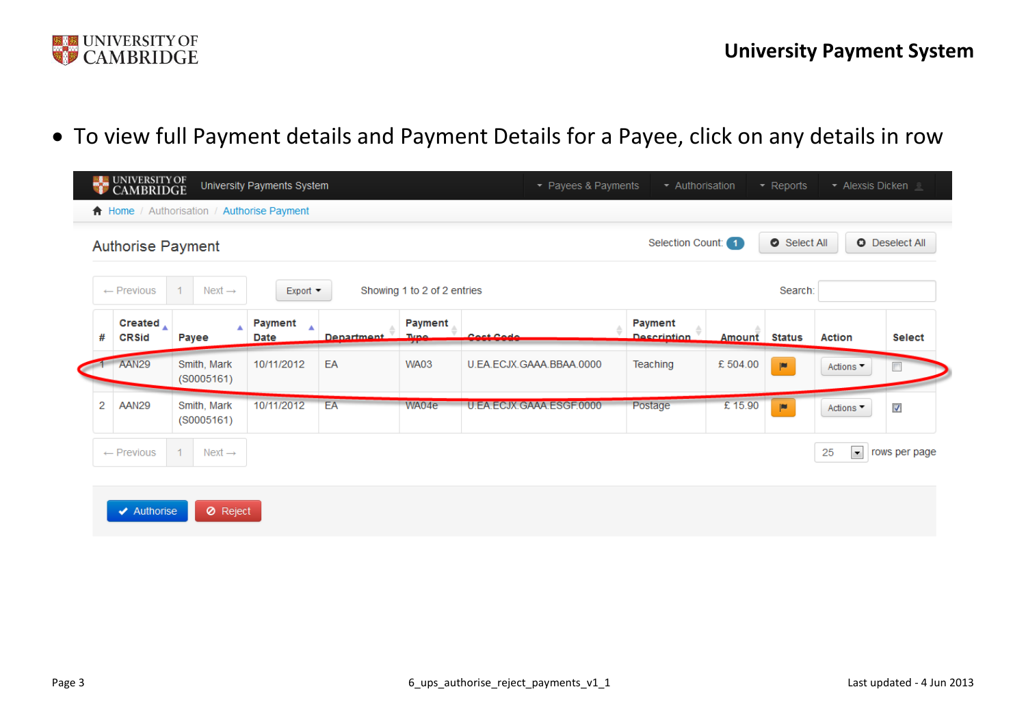

To view full Payment details and Payment Details for a Payee, click on any details in row

|   | <b>Authorise Payment</b>          |                           |                               |            |                             |                          | Selection Count: 1                   |                      | Select All            |                              | <b>O</b> Deselect All    |
|---|-----------------------------------|---------------------------|-------------------------------|------------|-----------------------------|--------------------------|--------------------------------------|----------------------|-----------------------|------------------------------|--------------------------|
|   | $\leftarrow$ Previous             | Next $\rightarrow$        | $Export -$                    |            | Showing 1 to 2 of 2 entries |                          |                                      |                      | Search:               |                              |                          |
| # | Created $\Lambda$<br><b>CRSid</b> | Payee                     | <b>Payment</b><br><b>Date</b> | Denartment | Payment<br>Tuno             | Cost Code                | <b>Payment</b><br><b>Description</b> | <b>Amount</b> Status |                       | <b>Action</b>                | <b>Select</b>            |
|   | AAN29                             | Smith, Mark<br>(S0005161) | 10/11/2012                    | EA         | <b>WA03</b>                 | U.EA.ECJX.GAAA.BBAA.0000 | Teaching                             | £504.00              | $\vert \bullet \vert$ | Actions ▼                    | $\overline{\phantom{a}}$ |
| 2 | AAN29                             | Smith, Mark<br>(S0005161) | 10/11/2012                    | EA         | WA04e                       | U.EA.ECJX.GAAA.ESGF.0000 | Postage                              | £15.90               | $\blacksquare$        | Actions $\blacktriangledown$ | V                        |
|   | $\leftarrow$ Previous             | $Next \rightarrow$        |                               |            |                             |                          |                                      |                      |                       | $\bullet$<br>25              | rows per page            |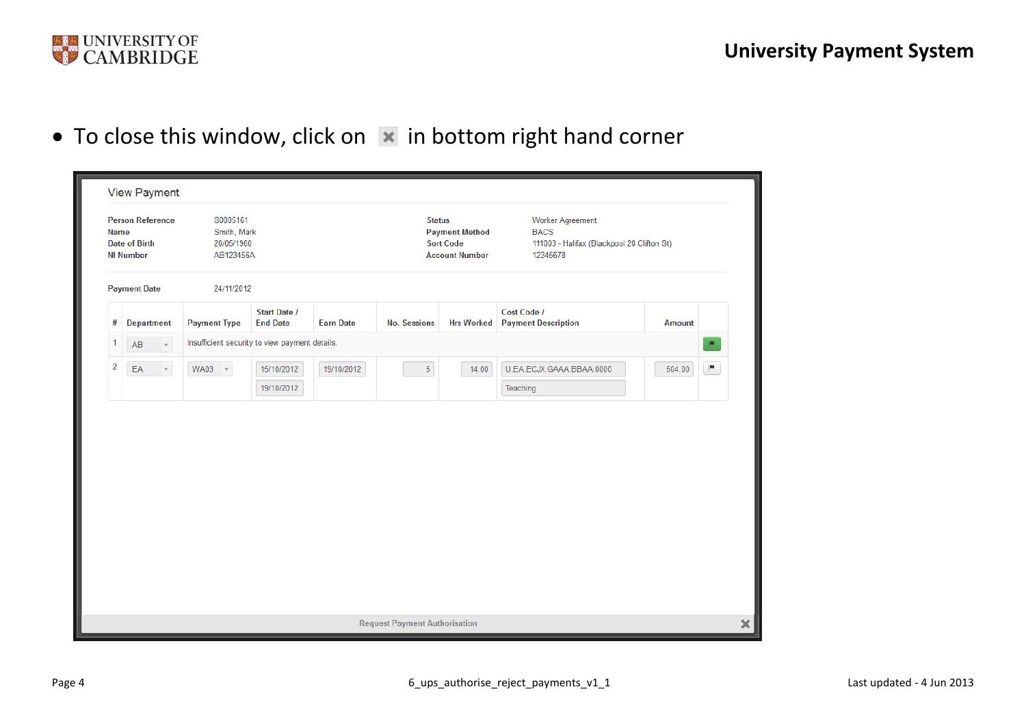

 $\bullet$  To close this window, click on  $\vert \times \vert$  in bottom right hand corner

|                | <b>Person Reference</b><br>Name<br><b>Date of Birth</b><br><b>NI Number</b> | S0005161<br>Smith, Mark<br>20/05/1960<br>AB123456A |                                        |                  | <b>Status</b>       | <b>Payment Method</b><br><b>Sort Code</b><br><b>Account Number</b> | <b>Worker Agreement</b><br><b>BACS</b><br>111003 - Halifax (Blackpool 20 Clifton St)<br>12345678 |               |   |
|----------------|-----------------------------------------------------------------------------|----------------------------------------------------|----------------------------------------|------------------|---------------------|--------------------------------------------------------------------|--------------------------------------------------------------------------------------------------|---------------|---|
|                | <b>Payment Date</b>                                                         | 24/11/2012                                         |                                        |                  |                     |                                                                    |                                                                                                  |               |   |
| #              | <b>Department</b>                                                           | <b>Payment Type</b>                                | <b>Start Date /</b><br><b>End Date</b> | <b>Earn Date</b> | <b>No. Sessions</b> | <b>Hrs Worked</b>                                                  | Cost Code /<br><b>Payment Description</b>                                                        | <b>Amount</b> |   |
| 1              | AB<br>$\tau$                                                                | Insufficient security to view payment details.     |                                        |                  |                     |                                                                    |                                                                                                  |               | P |
| $\overline{2}$ | $\mathsf{E}\mathsf{A}$<br>$\tau$                                            | $WA03 - *$                                         | 15/10/2012                             | 19/10/2012       | $\sqrt{5}$          | 14.00                                                              | U.EA.ECJX.GAAA.BBAA.0000                                                                         | 504.00        | P |
|                |                                                                             |                                                    | 19/10/2012                             |                  |                     |                                                                    | Teaching                                                                                         |               |   |
|                |                                                                             |                                                    |                                        |                  |                     |                                                                    |                                                                                                  |               |   |
|                |                                                                             |                                                    |                                        |                  |                     |                                                                    |                                                                                                  |               |   |
|                |                                                                             |                                                    |                                        |                  |                     |                                                                    |                                                                                                  |               |   |
|                |                                                                             |                                                    |                                        |                  |                     |                                                                    |                                                                                                  |               |   |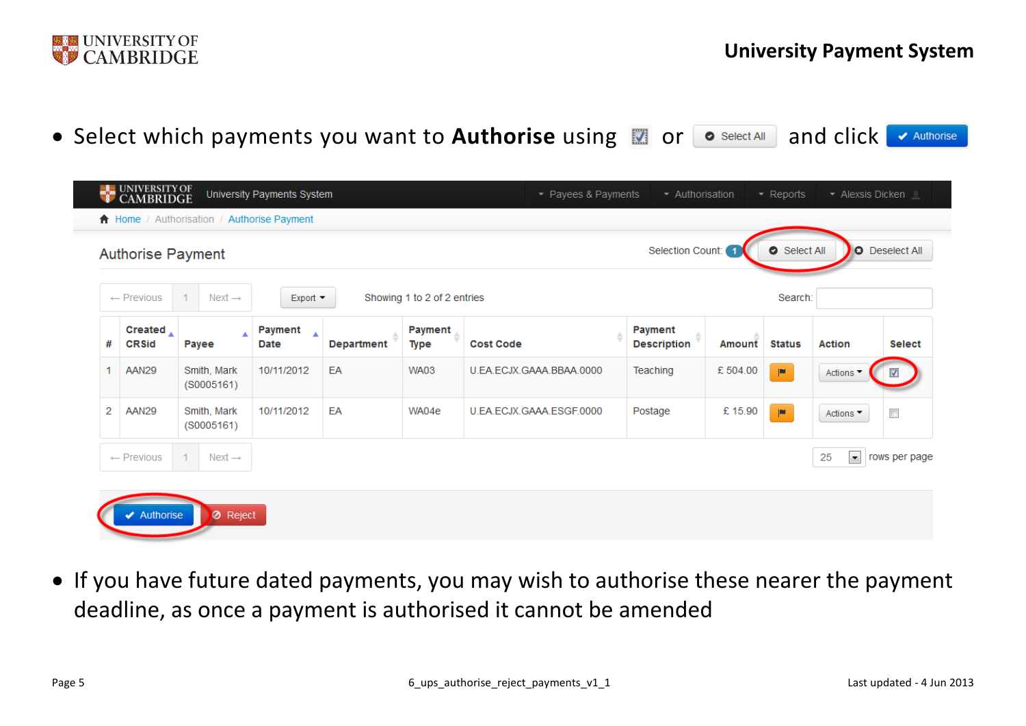

• Select which payments you want to Authorise using **a** or **o** Select All and click ← Authorise

|   | <b>Authorise Payment</b> |                                    |                                            |                   |                             |                          | Selection Count: 1            |         | Select All     |                                | <b>O</b> Deselect All |
|---|--------------------------|------------------------------------|--------------------------------------------|-------------------|-----------------------------|--------------------------|-------------------------------|---------|----------------|--------------------------------|-----------------------|
|   | $\leftarrow$ Previous    | $\mathbf{1}$<br>$Next \rightarrow$ | Export $\blacktriangledown$                |                   | Showing 1 to 2 of 2 entries |                          |                               |         | Search:        |                                |                       |
| # | Created<br><b>CRSid</b>  | Payee                              | Payment<br>$\blacktriangle$<br><b>Date</b> | <b>Department</b> | Payment<br><b>Type</b>      | <b>Cost Code</b>         | Payment<br><b>Description</b> | Amount  | <b>Status</b>  | <b>Action</b>                  | <b>Select</b>         |
|   | AAN29                    | Smith, Mark<br>(S0005161)          | 10/11/2012                                 | EA                | <b>WA03</b>                 | U.EA.ECJX.GAAA.BBAA.0000 | Teaching                      | £504.00 | $\blacksquare$ | Actions ▼                      | M                     |
| 2 | AAN29                    | Smith, Mark<br>(S0005161)          | 10/11/2012                                 | EA                | WA04e                       | U.EA.ECJX.GAAA.ESGF.0000 | Postage                       | £15.90  | p              | Actions ▼                      | $\Box$                |
|   | $\leftarrow$ Previous    | $\mathbf{1}$<br>$Next \rightarrow$ |                                            |                   |                             |                          |                               |         |                | $\overline{\phantom{a}}$<br>25 | rows per page         |

 If you have future dated payments, you may wish to authorise these nearer the payment deadline, as once a payment is authorised it cannot be amended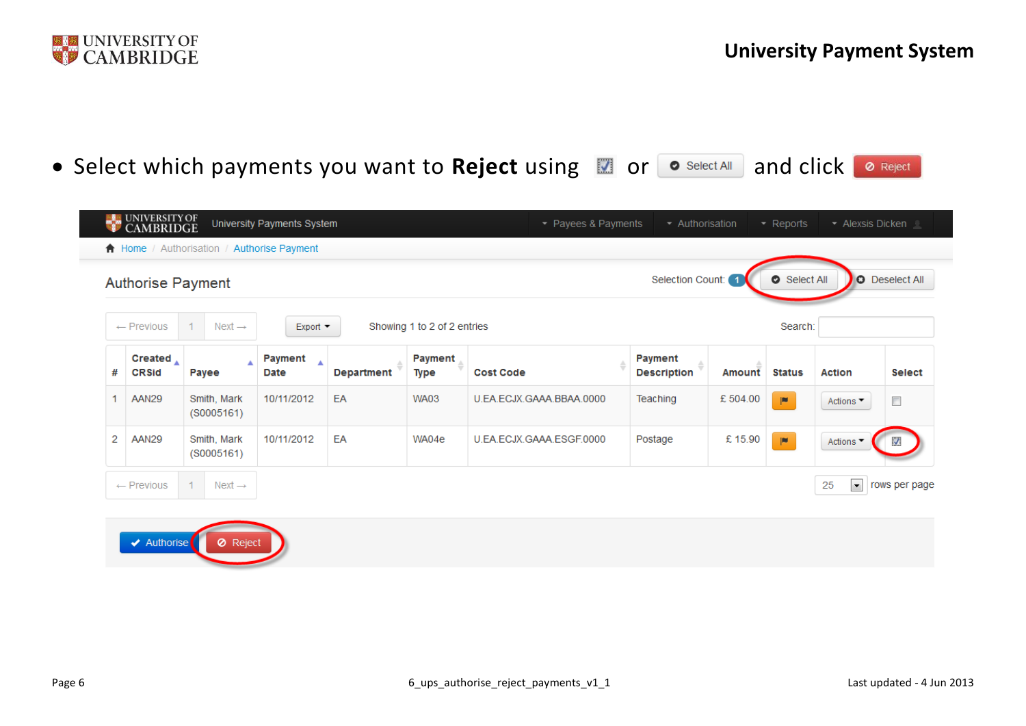

• Select which payments you want to Reject using **the order of Select All and click a Reject** 

|   | <b>UNIVERSITY OF</b><br><b>CAMBRIDGE</b><br>$\bigwedge$ Home / Authorisation / |                           | University Payments System<br><b>Authorise Payment</b> |                   |                             | • Payees & Payments      | Authorisation                 |         | $\overline{\phantom{a}}$ Reports | - Alexsis Dicken          |                         |
|---|--------------------------------------------------------------------------------|---------------------------|--------------------------------------------------------|-------------------|-----------------------------|--------------------------|-------------------------------|---------|----------------------------------|---------------------------|-------------------------|
|   | <b>Authorise Payment</b>                                                       |                           |                                                        |                   |                             |                          | Selection Count: 1            |         | Select All                       |                           | <b>O</b> Deselect All   |
|   | $\leftarrow$ Previous                                                          | $Next \rightarrow$        | $Export =$                                             |                   | Showing 1 to 2 of 2 entries |                          |                               |         | Search:                          |                           |                         |
| # | Created<br><b>CRSid</b>                                                        | Payee                     | Payment<br>Date                                        | <b>Department</b> | <b>Payment</b><br>Type      | <b>Cost Code</b>         | Payment<br><b>Description</b> | Amount  | <b>Status</b>                    | <b>Action</b>             | <b>Select</b>           |
|   | AAN29                                                                          | Smith, Mark<br>(S0005161) | 10/11/2012                                             | EA                | <b>WA03</b>                 | U.EA.ECJX.GAAA.BBAA.0000 | Teaching                      | £504.00 | $\blacksquare$                   | Actions ▼                 | $\Box$                  |
| 2 | AAN29                                                                          | Smith, Mark<br>(S0005161) | 10/11/2012                                             | EA                | WA04e                       | U.EA.ECJX.GAAA.ESGF.0000 | Postage                       | £15.90  | $\blacksquare$                   | Actions <sup>-</sup>      | $\overline{\mathbf{v}}$ |
|   | $\leftarrow$ Previous                                                          | 1.<br>$Next \rightarrow$  |                                                        |                   |                             |                          |                               |         |                                  | $\vert \cdot \vert$<br>25 | rows per page           |

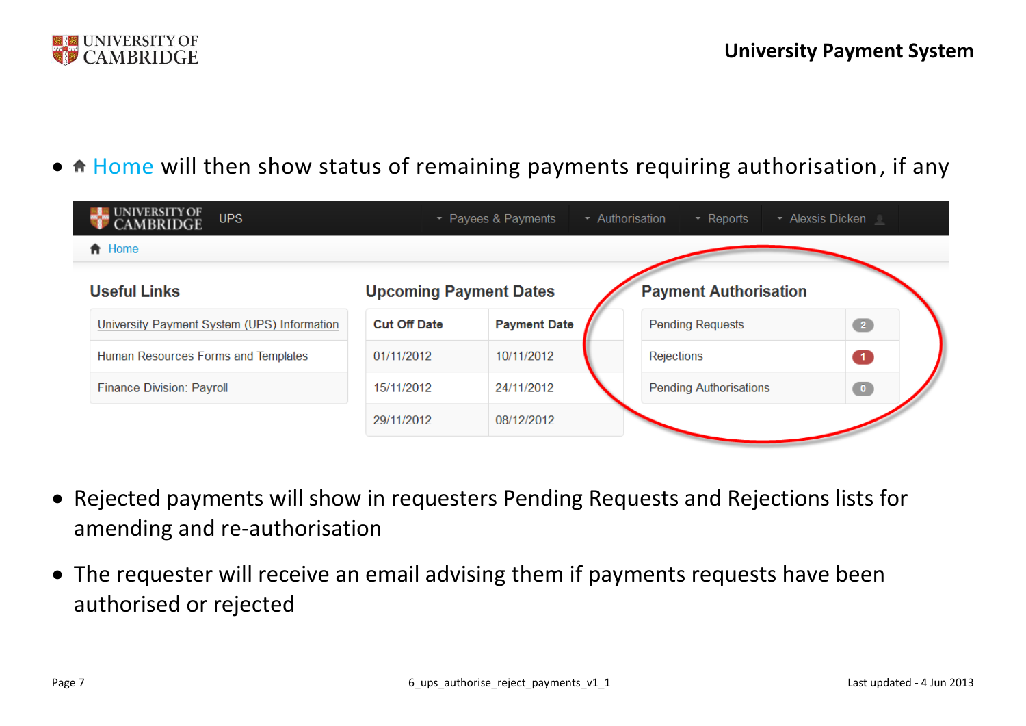

• A Home will then show status of remaining payments requiring authorisation, if any

| <b>UPS</b>                                  |                               | • Payees & Payments | • Authorisation | $\sim$ Reports                | • Alexsis Dicken |  |
|---------------------------------------------|-------------------------------|---------------------|-----------------|-------------------------------|------------------|--|
| <b>A</b> Home                               |                               |                     |                 |                               |                  |  |
| <b>Useful Links</b>                         | <b>Upcoming Payment Dates</b> |                     |                 | <b>Payment Authorisation</b>  |                  |  |
| University Payment System (UPS) Information | <b>Cut Off Date</b>           | <b>Payment Date</b> |                 | <b>Pending Requests</b>       | $\bullet$        |  |
| Human Resources Forms and Templates         | 01/11/2012                    | 10/11/2012          |                 | Rejections                    | $\vert 1 \vert$  |  |
| <b>Finance Division: Payroll</b>            | 15/11/2012                    | 24/11/2012          |                 | <b>Pending Authorisations</b> | $\bullet$        |  |
|                                             | 29/11/2012                    | 08/12/2012          |                 |                               |                  |  |

- Rejected payments will show in requesters Pending Requests and Rejections lists for amending and re-authorisation
- The requester will receive an email advising them if payments requests have been authorised or rejected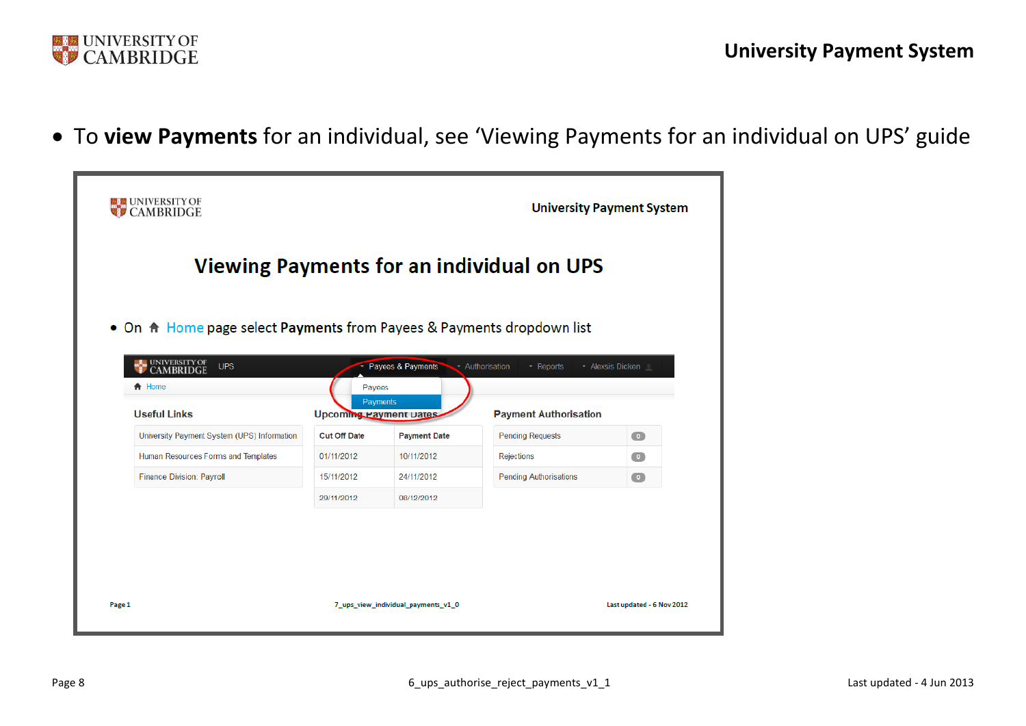

To **view Payments** for an individual, see 'Viewing Payments for an individual on UPS' guide